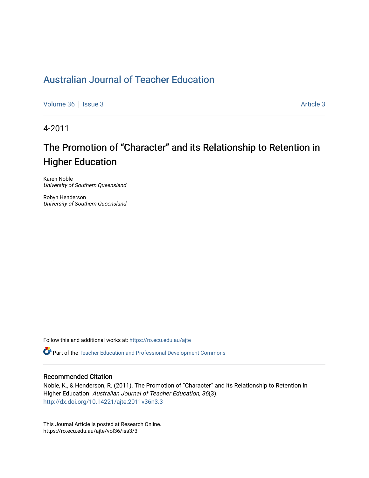## [Australian Journal of Teacher Education](https://ro.ecu.edu.au/ajte)

[Volume 36](https://ro.ecu.edu.au/ajte/vol36) | [Issue 3](https://ro.ecu.edu.au/ajte/vol36/iss3) Article 3

4-2011

# The Promotion of "Character" and its Relationship to Retention in Higher Education

Karen Noble University of Southern Queensland

Robyn Henderson University of Southern Queensland

Follow this and additional works at: [https://ro.ecu.edu.au/ajte](https://ro.ecu.edu.au/ajte?utm_source=ro.ecu.edu.au%2Fajte%2Fvol36%2Fiss3%2F3&utm_medium=PDF&utm_campaign=PDFCoverPages) 

Part of the [Teacher Education and Professional Development Commons](http://network.bepress.com/hgg/discipline/803?utm_source=ro.ecu.edu.au%2Fajte%2Fvol36%2Fiss3%2F3&utm_medium=PDF&utm_campaign=PDFCoverPages)

#### Recommended Citation

Noble, K., & Henderson, R. (2011). The Promotion of "Character" and its Relationship to Retention in Higher Education. Australian Journal of Teacher Education, 36(3). <http://dx.doi.org/10.14221/ajte.2011v36n3.3>

This Journal Article is posted at Research Online. https://ro.ecu.edu.au/ajte/vol36/iss3/3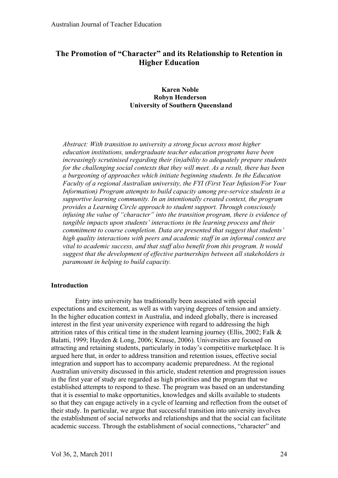## **The Promotion of "Character" and its Relationship to Retention in Higher Education**

## **Karen Noble Robyn Henderson University of Southern Queensland**

*Abstract: With transition to university a strong focus across most higher education institutions, undergraduate teacher education programs have been increasingly scrutinised regarding their (in)ability to adequately prepare students for the challenging social contexts that they will meet. As a result, there has been a burgeoning of approaches which initiate beginning students. In the Education Faculty of a regional Australian university, the FYI (First Year Infusion/For Your Information) Program attempts to build capacity among pre-service students in a supportive learning community. In an intentionally created context, the program provides a Learning Circle approach to student support. Through consciously infusing the value of "character" into the transition program, there is evidence of tangible impacts upon students' interactions in the learning process and their commitment to course completion. Data are presented that suggest that students' high quality interactions with peers and academic staff in an informal context are vital to academic success, and that staff also benefit from this program. It would suggest that the development of effective partnerships between all stakeholders is paramount in helping to build capacity.*

## **Introduction**

Entry into university has traditionally been associated with special expectations and excitement, as well as with varying degrees of tension and anxiety. In the higher education context in Australia, and indeed globally, there is increased interest in the first year university experience with regard to addressing the high attrition rates of this critical time in the student learning journey (Ellis, 2002; Falk & Balatti, 1999; Hayden & Long, 2006; Krause, 2006). Universities are focused on attracting and retaining students, particularly in today's competitive marketplace. It is argued here that, in order to address transition and retention issues, effective social integration and support has to accompany academic preparedness. At the regional Australian university discussed in this article, student retention and progression issues in the first year of study are regarded as high priorities and the program that we established attempts to respond to these. The program was based on an understanding that it is essential to make opportunities, knowledges and skills available to students so that they can engage actively in a cycle of learning and reflection from the outset of their study. In particular, we argue that successful transition into university involves the establishment of social networks and relationships and that the social can facilitate academic success. Through the establishment of social connections, "character" and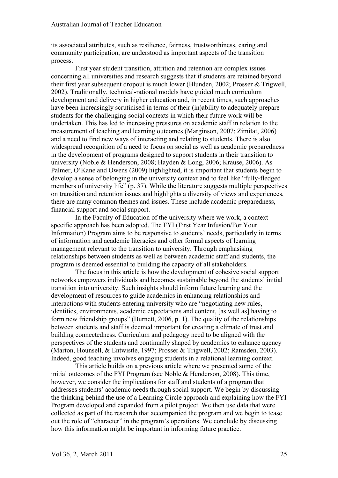its associated attributes, such as resilience, fairness, trustworthiness, caring and community participation, are understood as important aspects of the transition process.

First year student transition, attrition and retention are complex issues concerning all universities and research suggests that if students are retained beyond their first year subsequent dropout is much lower (Blunden, 2002; Prosser & Trigwell, 2002). Traditionally, technical-rational models have guided much curriculum development and delivery in higher education and, in recent times, such approaches have been increasingly scrutinised in terms of their (in)ability to adequately prepare students for the challenging social contexts in which their future work will be undertaken. This has led to increasing pressures on academic staff in relation to the measurement of teaching and learning outcomes (Marginson, 2007; Zimitat, 2006) and a need to find new ways of interacting and relating to students. There is also widespread recognition of a need to focus on social as well as academic preparedness in the development of programs designed to support students in their transition to university (Noble & Henderson, 2008; Hayden & Long, 2006; Krause, 2006). As Palmer, O'Kane and Owens (2009) highlighted, it is important that students begin to develop a sense of belonging in the university context and to feel like "fully-fledged members of university life" (p. 37). While the literature suggests multiple perspectives on transition and retention issues and highlights a diversity of views and experiences, there are many common themes and issues. These include academic preparedness, financial support and social support.

In the Faculty of Education of the university where we work, a contextspecific approach has been adopted. The FYI (First Year Infusion/For Your Information) Program aims to be responsive to students' needs, particularly in terms of information and academic literacies and other formal aspects of learning management relevant to the transition to university. Through emphasising relationships between students as well as between academic staff and students, the program is deemed essential to building the capacity of all stakeholders.

The focus in this article is how the development of cohesive social support networks empowers individuals and becomes sustainable beyond the students' initial transition into university. Such insights should inform future learning and the development of resources to guide academics in enhancing relationships and interactions with students entering university who are "negotiating new rules, identities, environments, academic expectations and content, [as well as] having to form new friendship groups" (Burnett, 2006, p. 1). The quality of the relationships between students and staff is deemed important for creating a climate of trust and building connectedness. Curriculum and pedagogy need to be aligned with the perspectives of the students and continually shaped by academics to enhance agency (Marton, Hounsell, & Entwistle, 1997; Prosser & Trigwell, 2002; Ramsden, 2003). Indeed, good teaching involves engaging students in a relational learning context.

This article builds on a previous article where we presented some of the initial outcomes of the FYI Program (see Noble & Henderson, 2008). This time, however, we consider the implications for staff and students of a program that addresses students' academic needs through social support. We begin by discussing the thinking behind the use of a Learning Circle approach and explaining how the FYI Program developed and expanded from a pilot project. We then use data that were collected as part of the research that accompanied the program and we begin to tease out the role of "character" in the program's operations. We conclude by discussing how this information might be important in informing future practice.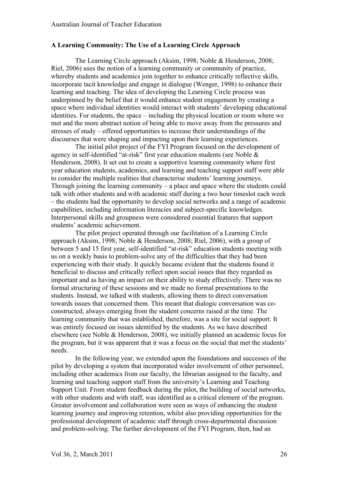## **A Learning Community: The Use of a Learning Circle Approach**

The Learning Circle approach (Aksim, 1998; Noble & Henderson, 2008; Riel, 2006) uses the notion of a learning community or community of practice, whereby students and academics join together to enhance critically reflective skills, incorporate tacit knowledge and engage in dialogue (Wenger, 1998) to enhance their learning and teaching. The idea of developing the Learning Circle process was underpinned by the belief that it would enhance student engagement by creating a space where individual identities would interact with students' developing educational identities. For students, the space – including the physical location or room where we met and the more abstract notion of being able to move away from the pressures and stresses of study – offered opportunities to increase their understandings of the discourses that were shaping and impacting upon their learning experiences.

The initial pilot project of the FYI Program focused on the development of agency in self-identified "at-risk" first year education students (see Noble & Henderson, 2008). It set out to create a supportive learning community where first year education students, academics, and learning and teaching support staff were able to consider the multiple realities that characterise students' learning journeys. Through joining the learning community – a place and space where the students could talk with other students and with academic staff during a two hour timeslot each week – the students had the opportunity to develop social networks and a range of academic capabilities, including information literacies and subject-specific knowledges. Interpersonal skills and groupness were considered essential features that support students' academic achievement.

The pilot project operated through our facilitation of a Learning Circle approach (Aksim, 1998; Noble & Henderson, 2008; Riel, 2006), with a group of between 5 and 15 first year, self-identified "at-risk" education students meeting with us on a weekly basis to problem-solve any of the difficulties that they had been experiencing with their study. It quickly became evident that the students found it beneficial to discuss and critically reflect upon social issues that they regarded as important and as having an impact on their ability to study effectively. There was no formal structuring of these sessions and we made no formal presentations to the students. Instead, we talked with students, allowing them to direct conversation towards issues that concerned them. This meant that dialogic conversation was coconstructed, always emerging from the student concerns raised at the time. The learning community that was established, therefore, was a site for social support. It was entirely focused on issues identified by the students. As we have described elsewhere (see Noble & Henderson, 2008), we initially planned an academic focus for the program, but it was apparent that it was a focus on the social that met the students' needs.

In the following year, we extended upon the foundations and successes of the pilot by developing a system that incorporated wider involvement of other personnel, including other academics from our faculty, the librarian assigned to the faculty, and learning and teaching support staff from the university's Learning and Teaching Support Unit. From student feedback during the pilot, the building of social networks, with other students and with staff, was identified as a critical element of the program. Greater involvement and collaboration were seen as ways of enhancing the student learning journey and improving retention, whilst also providing opportunities for the professional development of academic staff through cross-departmental discussion and problem-solving. The further development of the FYI Program, then, had an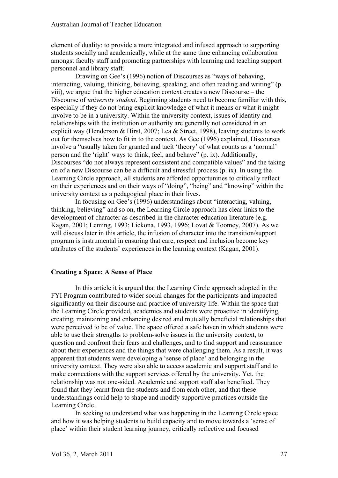element of duality: to provide a more integrated and infused approach to supporting students socially and academically, while at the same time enhancing collaboration amongst faculty staff and promoting partnerships with learning and teaching support personnel and library staff.

Drawing on Gee's (1996) notion of Discourses as "ways of behaving, interacting, valuing, thinking, believing, speaking, and often reading and writing" (p. viii), we argue that the higher education context creates a new Discourse – the Discourse of *university student*. Beginning students need to become familiar with this, especially if they do not bring explicit knowledge of what it means or what it might involve to be in a university. Within the university context, issues of identity and relationships with the institution or authority are generally not considered in an explicit way (Henderson & Hirst, 2007; Lea & Street, 1998), leaving students to work out for themselves how to fit in to the context. As Gee (1996) explained, Discourses involve a "usually taken for granted and tacit 'theory' of what counts as a 'normal' person and the 'right' ways to think, feel, and behave" (p. ix). Additionally, Discourses "do not always represent consistent and compatible values" and the taking on of a new Discourse can be a difficult and stressful process (p. ix). In using the Learning Circle approach, all students are afforded opportunities to critically reflect on their experiences and on their ways of "doing", "being" and "knowing" within the university context as a pedagogical place in their lives.

In focusing on Gee's (1996) understandings about "interacting, valuing, thinking, believing" and so on, the Learning Circle approach has clear links to the development of character as described in the character education literature (e.g. Kagan, 2001; Leming, 1993; Lickona, 1993, 1996; Lovat & Toomey, 2007). As we will discuss later in this article, the infusion of character into the transition/support program is instrumental in ensuring that care, respect and inclusion become key attributes of the students' experiences in the learning context (Kagan, 2001).

## **Creating a Space: A Sense of Place**

In this article it is argued that the Learning Circle approach adopted in the FYI Program contributed to wider social changes for the participants and impacted significantly on their discourse and practice of university life. Within the space that the Learning Circle provided, academics and students were proactive in identifying, creating, maintaining and enhancing desired and mutually beneficial relationships that were perceived to be of value. The space offered a safe haven in which students were able to use their strengths to problem-solve issues in the university context, to question and confront their fears and challenges, and to find support and reassurance about their experiences and the things that were challenging them. As a result, it was apparent that students were developing a 'sense of place' and belonging in the university context. They were also able to access academic and support staff and to make connections with the support services offered by the university. Yet, the relationship was not one-sided. Academic and support staff also benefited. They found that they learnt from the students and from each other, and that these understandings could help to shape and modify supportive practices outside the Learning Circle.

In seeking to understand what was happening in the Learning Circle space and how it was helping students to build capacity and to move towards a 'sense of place' within their student learning journey, critically reflective and focused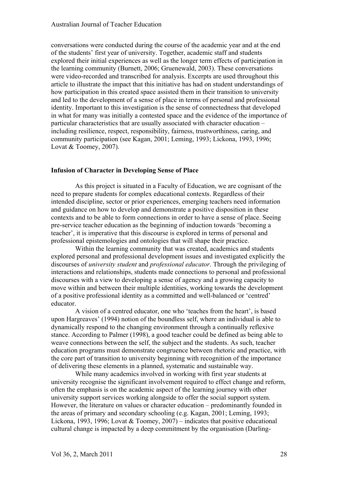conversations were conducted during the course of the academic year and at the end of the students' first year of university. Together, academic staff and students explored their initial experiences as well as the longer term effects of participation in the learning community (Burnett, 2006; Gruenewald, 2003). These conversations were video-recorded and transcribed for analysis. Excerpts are used throughout this article to illustrate the impact that this initiative has had on student understandings of how participation in this created space assisted them in their transition to university and led to the development of a sense of place in terms of personal and professional identity. Important to this investigation is the sense of connectedness that developed in what for many was initially a contested space and the evidence of the importance of particular characteristics that are usually associated with character education – including resilience, respect, responsibility, fairness, trustworthiness, caring, and community participation (see Kagan, 2001; Leming, 1993; Lickona, 1993, 1996; Lovat & Toomey, 2007).

## **Infusion of Character in Developing Sense of Place**

As this project is situated in a Faculty of Education, we are cognisant of the need to prepare students for complex educational contexts. Regardless of their intended discipline, sector or prior experiences, emerging teachers need information and guidance on how to develop and demonstrate a positive disposition in these contexts and to be able to form connections in order to have a sense of place. Seeing pre-service teacher education as the beginning of induction towards 'becoming a teacher', it is imperative that this discourse is explored in terms of personal and professional epistemologies and ontologies that will shape their practice.

Within the learning community that was created, academics and students explored personal and professional development issues and investigated explicitly the discourses of *university student* and *professional educator*. Through the privileging of interactions and relationships, students made connections to personal and professional discourses with a view to developing a sense of agency and a growing capacity to move within and between their multiple identities, working towards the development of a positive professional identity as a committed and well-balanced or 'centred' educator.

A vision of a centred educator, one who 'teaches from the heart', is based upon Hargreaves' (1994) notion of the boundless self, where an individual is able to dynamically respond to the changing environment through a continually reflexive stance. According to Palmer (1998), a good teacher could be defined as being able to weave connections between the self, the subject and the students. As such, teacher education programs must demonstrate congruence between rhetoric and practice, with the core part of transition to university beginning with recognition of the importance of delivering these elements in a planned, systematic and sustainable way.

While many academics involved in working with first year students at university recognise the significant involvement required to effect change and reform, often the emphasis is on the academic aspect of the learning journey with other university support services working alongside to offer the social support system. However, the literature on values or character education – predominantly founded in the areas of primary and secondary schooling (e.g. Kagan, 2001; Leming, 1993; Lickona, 1993, 1996; Lovat & Toomey, 2007) – indicates that positive educational cultural change is impacted by a deep commitment by the organisation (Darling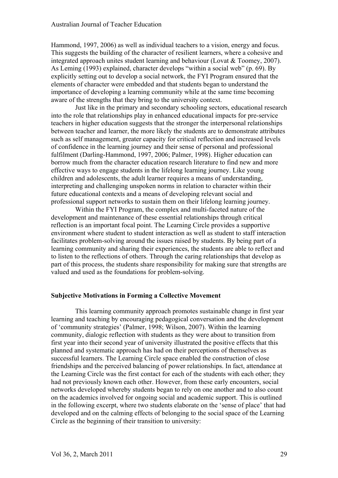Hammond, 1997, 2006) as well as individual teachers to a vision, energy and focus. This suggests the building of the character of resilient learners, where a cohesive and integrated approach unites student learning and behaviour (Lovat & Toomey, 2007). As Leming (1993) explained, character develops "within a social web" (p. 69). By explicitly setting out to develop a social network, the FYI Program ensured that the elements of character were embedded and that students began to understand the importance of developing a learning community while at the same time becoming aware of the strengths that they bring to the university context.

Just like in the primary and secondary schooling sectors, educational research into the role that relationships play in enhanced educational impacts for pre-service teachers in higher education suggests that the stronger the interpersonal relationships between teacher and learner, the more likely the students are to demonstrate attributes such as self management, greater capacity for critical reflection and increased levels of confidence in the learning journey and their sense of personal and professional fulfilment (Darling-Hammond, 1997, 2006; Palmer, 1998). Higher education can borrow much from the character education research literature to find new and more effective ways to engage students in the lifelong learning journey. Like young children and adolescents, the adult learner requires a means of understanding, interpreting and challenging unspoken norms in relation to character within their future educational contexts and a means of developing relevant social and professional support networks to sustain them on their lifelong learning journey.

Within the FYI Program, the complex and multi-faceted nature of the development and maintenance of these essential relationships through critical reflection is an important focal point. The Learning Circle provides a supportive environment where student to student interaction as well as student to staff interaction facilitates problem-solving around the issues raised by students. By being part of a learning community and sharing their experiences, the students are able to reflect and to listen to the reflections of others. Through the caring relationships that develop as part of this process, the students share responsibility for making sure that strengths are valued and used as the foundations for problem-solving.

## **Subjective Motivations in Forming a Collective Movement**

This learning community approach promotes sustainable change in first year learning and teaching by encouraging pedagogical conversation and the development of 'community strategies' (Palmer, 1998; Wilson, 2007). Within the learning community, dialogic reflection with students as they were about to transition from first year into their second year of university illustrated the positive effects that this planned and systematic approach has had on their perceptions of themselves as successful learners. The Learning Circle space enabled the construction of close friendships and the perceived balancing of power relationships. In fact, attendance at the Learning Circle was the first contact for each of the students with each other; they had not previously known each other. However, from these early encounters, social networks developed whereby students began to rely on one another and to also count on the academics involved for ongoing social and academic support. This is outlined in the following excerpt, where two students elaborate on the 'sense of place' that had developed and on the calming effects of belonging to the social space of the Learning Circle as the beginning of their transition to university: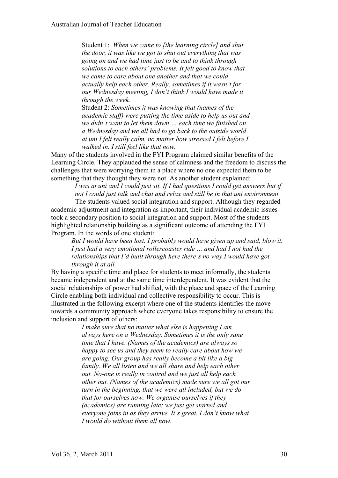Student 1: *When we came to [the learning circle] and shut the door, it was like we got to shut out everything that was going on and we had time just to be and to think through solutions to each others' problems. It felt good to know that we came to care about one another and that we could actually help each other. Really, sometimes if it wasn't for our Wednesday meeting, I don't think I would have made it through the week.*

Student 2: *Sometimes it was knowing that (names of the academic staff) were putting the time aside to help us out and we didn't want to let them down … each time we finished on a Wednesday and we all had to go back to the outside world at uni I felt really calm, no matter how stressed I felt before I walked in. I still feel like that now.*

Many of the students involved in the FYI Program claimed similar benefits of the Learning Circle. They applauded the sense of calmness and the freedom to discuss the challenges that were worrying them in a place where no one expected them to be something that they thought they were not. As another student explained:

> *I was at uni and I could just sit. If I had questions I could get answers but if not I could just talk and chat and relax and still be in that uni environment.*

The students valued social integration and support. Although they regarded academic adjustment and integration as important, their individual academic issues took a secondary position to social integration and support. Most of the students highlighted relationship building as a significant outcome of attending the FYI Program. In the words of one student:

*But I would have been lost. I probably would have given up and said, blow it. I just had a very emotional rollercoaster ride … and had I not had the relationships that I'd built through here there's no way I would have got through it at all.*

By having a specific time and place for students to meet informally, the students became independent and at the same time interdependent. It was evident that the social relationships of power had shifted, with the place and space of the Learning Circle enabling both individual and collective responsibility to occur. This is illustrated in the following excerpt where one of the students identifies the move towards a community approach where everyone takes responsibility to ensure the inclusion and support of others:

> *I make sure that no matter what else is happening I am always here on a Wednesday. Sometimes it is the only sane time that I have. (Names of the academics) are always so happy to see us and they seem to really care about how we are going. Our group has really become a bit like a big family. We all listen and we all share and help each other out. No-one is really in control and we just all help each other out. (Names of the academics) made sure we all got our turn in the beginning, that we were all included, but we do that for ourselves now. We organise ourselves if they (academics) are running late; we just get started and everyone joins in as they arrive. It's great. I don't know what I would do without them all now.*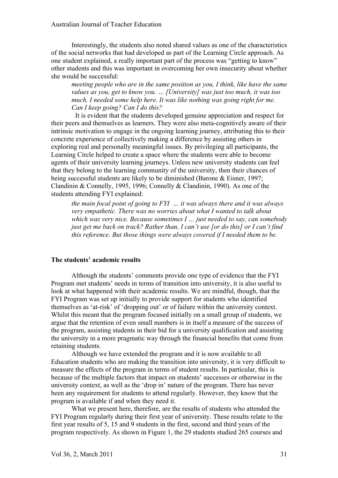Interestingly, the students also noted shared values as one of the characteristics of the social networks that had developed as part of the Learning Circle approach. As one student explained, a really important part of the process was "getting to know" other students and this was important in overcoming her own insecurity about whether she would be successful:

*meeting people who are in the same position as you, I think, like have the same values as you, get to know you. … [University] was just too much, it was too much. I needed some help here. It was like nothing was going right for me. Can I keep going? Can I do this?* 

It is evident that the students developed genuine appreciation and respect for their peers and themselves as learners. They were also meta-cognitively aware of their intrinsic motivation to engage in the ongoing learning journey, attributing this to their concrete experience of collectively making a difference by assisting others in exploring real and personally meaningful issues. By privileging all participants, the Learning Circle helped to create a space where the students were able to become agents of their university learning journeys. Unless new university students can feel that they belong to the learning community of the university, then their chances of being successful students are likely to be diminished (Barone & Eisner, 1997; Clandinin & Connelly, 1995, 1996; Connelly & Clandinin, 1990). As one of the students attending FYI explained:

*the main focal point of going to FYI … it was always there and it was always very empathetic. There was no worries about what I wanted to talk about which was very nice. Because sometimes I … just needed to say, can somebody just get me back on track? Rather than, I can't use [or do this] or I can't find this reference. But those things were always covered if I needed them to be.* 

## **The students' academic results**

Although the students' comments provide one type of evidence that the FYI Program met students' needs in terms of transition into university, it is also useful to look at what happened with their academic results. We are mindful, though, that the FYI Program was set up initially to provide support for students who identified themselves as 'at-risk' of 'dropping out' or of failure within the university context. Whilst this meant that the program focused initially on a small group of students, we argue that the retention of even small numbers is in itself a measure of the success of the program, assisting students in their bid for a university qualification and assisting the university in a more pragmatic way through the financial benefits that come from retaining students.

Although we have extended the program and it is now available to all Education students who are making the transition into university, it is very difficult to measure the effects of the program in terms of student results. In particular, this is because of the multiple factors that impact on students' successes or otherwise in the university context, as well as the 'drop in' nature of the program. There has never been any requirement for students to attend regularly. However, they know that the program is available if and when they need it.

What we present here, therefore, are the results of students who attended the FYI Program regularly during their first year of university. These results relate to the first year results of 5, 15 and 9 students in the first, second and third years of the program respectively. As shown in Figure 1, the 29 students studied 265 courses and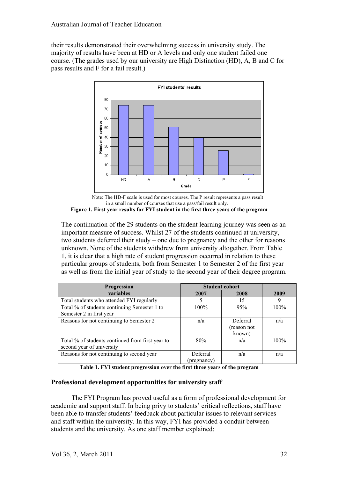their results demonstrated their overwhelming success in university study. The majority of results have been at HD or A levels and only one student failed one course. (The grades used by our university are High Distinction (HD), A, B and C for pass results and F for a fail result.)



Note: The HD-F scale is used for most courses. The P result represents a pass result in a small number of courses that use a pass/fail result only.

**Figure 1. First year results for FYI student in the first three years of the program**

The continuation of the 29 students on the student learning journey was seen as an important measure of success. Whilst 27 of the students continued at university, two students deferred their study – one due to pregnancy and the other for reasons unknown. None of the students withdrew from university altogether. From Table 1, it is clear that a high rate of student progression occurred in relation to these particular groups of students, both from Semester 1 to Semester 2 of the first year as well as from the initial year of study to the second year of their degree program.

| Progression                                      | <b>Student cohort</b> |             |      |
|--------------------------------------------------|-----------------------|-------------|------|
| variables                                        | 2007                  | 2008        | 2009 |
| Total students who attended FYI regularly        |                       | 15          |      |
| Total % of students continuing Semester 1 to     | 100%                  | 95%         | 100% |
| Semester 2 in first year                         |                       |             |      |
| Reasons for not continuing to Semester 2         | n/a                   | Deferral    | n/a  |
|                                                  |                       | (reason not |      |
|                                                  |                       | known)      |      |
| Total % of students continued from first year to | 80%                   | n/a         | 100% |
| second year of university                        |                       |             |      |
| Reasons for not continuing to second year        | Deferral              | n/a         | n/a  |
|                                                  | (pregnancy)           |             |      |

**Table 1. FYI student progression over the first three years of the program**

## **Professional development opportunities for university staff**

The FYI Program has proved useful as a form of professional development for academic and support staff. In being privy to students' critical reflections, staff have been able to transfer students' feedback about particular issues to relevant services and staff within the university. In this way, FYI has provided a conduit between students and the university. As one staff member explained: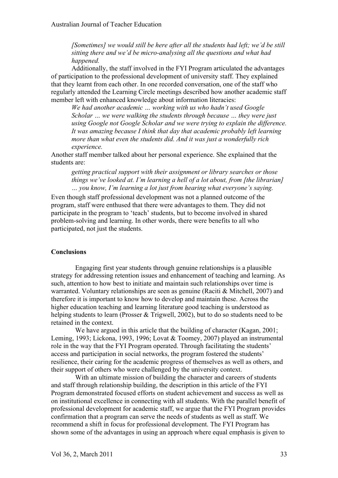*[Sometimes] we would still be here after all the students had left; we'd be still sitting there and we'd be micro-analysing all the questions and what had happened.* 

Additionally, the staff involved in the FYI Program articulated the advantages of participation to the professional development of university staff. They explained that they learnt from each other. In one recorded conversation, one of the staff who regularly attended the Learning Circle meetings described how another academic staff member left with enhanced knowledge about information literacies:

*We had another academic … working with us who hadn't used Google Scholar … we were walking the students through because … they were just using Google not Google Scholar and we were trying to explain the difference. It was amazing because I think that day that academic probably left learning more than what even the students did. And it was just a wonderfully rich experience.*

Another staff member talked about her personal experience. She explained that the students are:

*getting practical support with their assignment or library searches or those things we've looked at. I'm learning a hell of a lot about, from [the librarian] … you know, I'm learning a lot just from hearing what everyone's saying.*

Even though staff professional development was not a planned outcome of the program, staff were enthused that there were advantages to them. They did not participate in the program to 'teach' students, but to become involved in shared problem-solving and learning. In other words, there were benefits to all who participated, not just the students.

## **Conclusions**

Engaging first year students through genuine relationships is a plausible strategy for addressing retention issues and enhancement of teaching and learning. As such, attention to how best to initiate and maintain such relationships over time is warranted. Voluntary relationships are seen as genuine (Raciti & Mitchell, 2007) and therefore it is important to know how to develop and maintain these. Across the higher education teaching and learning literature good teaching is understood as helping students to learn (Prosser & Trigwell, 2002), but to do so students need to be retained in the context.

We have argued in this article that the building of character (Kagan, 2001; Leming, 1993; Lickona, 1993, 1996; Lovat & Toomey, 2007) played an instrumental role in the way that the FYI Program operated. Through facilitating the students' access and participation in social networks, the program fostered the students' resilience, their caring for the academic progress of themselves as well as others, and their support of others who were challenged by the university context.

With an ultimate mission of building the character and careers of students and staff through relationship building, the description in this article of the FYI Program demonstrated focused efforts on student achievement and success as well as on institutional excellence in connecting with all students. With the parallel benefit of professional development for academic staff, we argue that the FYI Program provides confirmation that a program can serve the needs of students as well as staff. We recommend a shift in focus for professional development. The FYI Program has shown some of the advantages in using an approach where equal emphasis is given to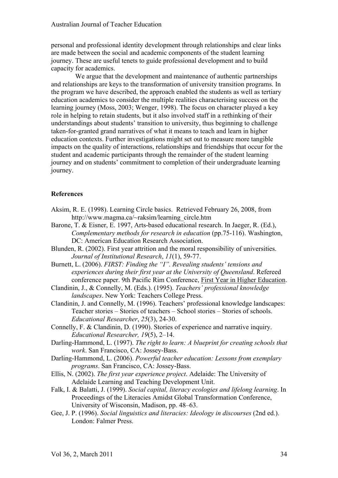personal and professional identity development through relationships and clear links are made between the social and academic components of the student learning journey. These are useful tenets to guide professional development and to build capacity for academics.

We argue that the development and maintenance of authentic partnerships and relationships are keys to the transformation of university transition programs. In the program we have described, the approach enabled the students as well as tertiary education academics to consider the multiple realities characterising success on the learning journey (Moss, 2003; Wenger, 1998). The focus on character played a key role in helping to retain students, but it also involved staff in a rethinking of their understandings about students' transition to university, thus beginning to challenge taken-for-granted grand narratives of what it means to teach and learn in higher education contexts. Further investigations might set out to measure more tangible impacts on the quality of interactions, relationships and friendships that occur for the student and academic participants through the remainder of the student learning journey and on students' commitment to completion of their undergraduate learning journey.

## **References**

- Aksim, R. E. (1998). Learning Circle basics. Retrieved February 26, 2008, from http://www.magma.ca/~raksim/learning\_circle.htm
- Barone, T. & Eisner, E. 1997, Arts-based educational research. In Jaeger, R. (Ed.), *Complementary methods for research in education* (pp.75-116). Washington, DC: American Education Research Association.
- Blunden, R. (2002). First year attrition and the moral responsibility of universities. *Journal of Institutional Research*, *11*(1), 59-77.
- Burnett, L. (2006). *FIRST: Finding the "I". Revealing students' tensions and experiences during their first year at the University of Queensland*. Refereed conference paper. 9th Pacific Rim Conference, First Year in Higher Education.
- Clandinin, J., & Connelly, M. (Eds.). (1995). *Teachers' professional knowledge landscapes*. New York: Teachers College Press.
- Clandinin, J. and Connelly, M. (1996). Teachers' professional knowledge landscapes: Teacher stories – Stories of teachers – School stories – Stories of schools. *Educational Researcher*, *25*(3), 24-30.
- Connelly, F. & Clandinin, D. (1990). Stories of experience and narrative inquiry. *Educational Researcher, 19*(5), 2–14.
- Darling-Hammond, L. (1997). *The right to learn: A blueprint for creating schools that work*. San Francisco, CA: Jossey-Bass.
- Darling-Hammond, L. (2006). *Powerful teacher education: Lessons from exemplary programs*. San Francisco, CA: Jossey-Bass.
- Ellis, N. (2002). *The first year experience project*. Adelaide: The University of Adelaide Learning and Teaching Development Unit.
- Falk, I. & Balatti, J. (1999). *Social capital, literacy ecologies and lifelong learning*. In Proceedings of the Literacies Amidst Global Transformation Conference, University of Wisconsin, Madison, pp. 48–63.
- Gee, J. P. (1996). *Social linguistics and literacies: Ideology in discourses* (2nd ed.). London: Falmer Press.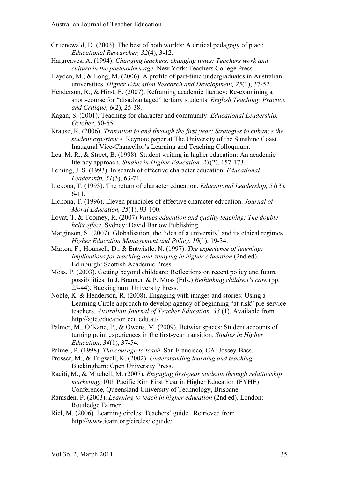- Gruenewald, D. (2003). The best of both worlds: A critical pedagogy of place. *Educational Researcher, 32*(4), 3-12.
- Hargreaves, A. (1994). *Changing teachers, changing times: Teachers work and culture in the postmodern age*. New York: Teachers College Press.
- Hayden, M., & Long, M. (2006). A profile of part-time undergraduates in Australian universities. *Higher Education Research and Development, 25*(1), 37-52.
- Henderson, R., & Hirst, E. (2007). Reframing academic literacy: Re-examining a short-course for "disadvantaged" tertiary students. *English Teaching: Practice and Critique, 6*(2), 25-38.
- Kagan, S. (2001). Teaching for character and community. *Educational Leadership, October*, 50-55.
- Krause, K. (2006). *Transition to and through the first year: Strategies to enhance the student experience*. Keynote paper at The University of the Sunshine Coast Inaugural Vice-Chancellor's Learning and Teaching Colloquium.
- Lea, M. R., & Street, B. (1998). Student writing in higher education: An academic literacy approach. *Studies in Higher Education, 23*(2), 157-173.
- Leming, J. S. (1993). In search of effective character education. *Educational Leadership, 51*(3), 63-71.
- Lickona, T. (1993). The return of character education. *Educational Leadership, 51*(3), 6-11.
- Lickona, T. (1996). Eleven principles of effective character education. *Journal of Moral Education, 25*(1), 93-100.
- Lovat, T. & Toomey, R. (2007) *Values education and quality teaching: The double helix effect*. Sydney: David Barlow Publishing.
- Marginson, S. (2007). Globalisation, the 'idea of a university' and its ethical regimes. *Higher Education Management and Policy, 19*(1), 19-34.
- Marton, F., Hounsell, D., & Entwistle, N. (1997). *The experience of learning: Implications for teaching and studying in higher education* (2nd ed). Edinburgh: Scottish Academic Press.
- Moss, P. (2003). Getting beyond childcare: Reflections on recent policy and future possibilities. In J. Brannen & P. Moss (Eds.) *Rethinking children's care* (pp. 25-44). Buckingham: University Press.
- Noble, K. & Henderson, R. (2008). Engaging with images and stories: Using a Learning Circle approach to develop agency of beginning "at-risk" pre-service teachers. *Australian Journal of Teacher Education, 33* (1). Available from http://ajte.education.ecu.edu.au/
- Palmer, M., O'Kane, P., & Owens, M. (2009). Betwixt spaces: Student accounts of turning point experiences in the first-year transition. *Studies in Higher Education*, *34*(1), 37-54.
- Palmer, P. (1998). *The courage to teach*. San Francisco, CA: Jossey-Bass.
- Prosser, M., & Trigwell, K. (2002). *Understanding learning and teaching*. Buckingham: Open University Press.
- Raciti, M., & Mitchell, M. (2007). *Engaging first-year students through relationship marketing*. 10th Pacific Rim First Year in Higher Education (FYHE) Conference, Queensland University of Technology, Brisbane.
- Ramsden, P. (2003). *Learning to teach in higher education* (2nd ed). London: Routledge Falmer.
- Riel, M. (2006). Learning circles: Teachers' guide. Retrieved from http://www.iearn.org/circles/lcguide/